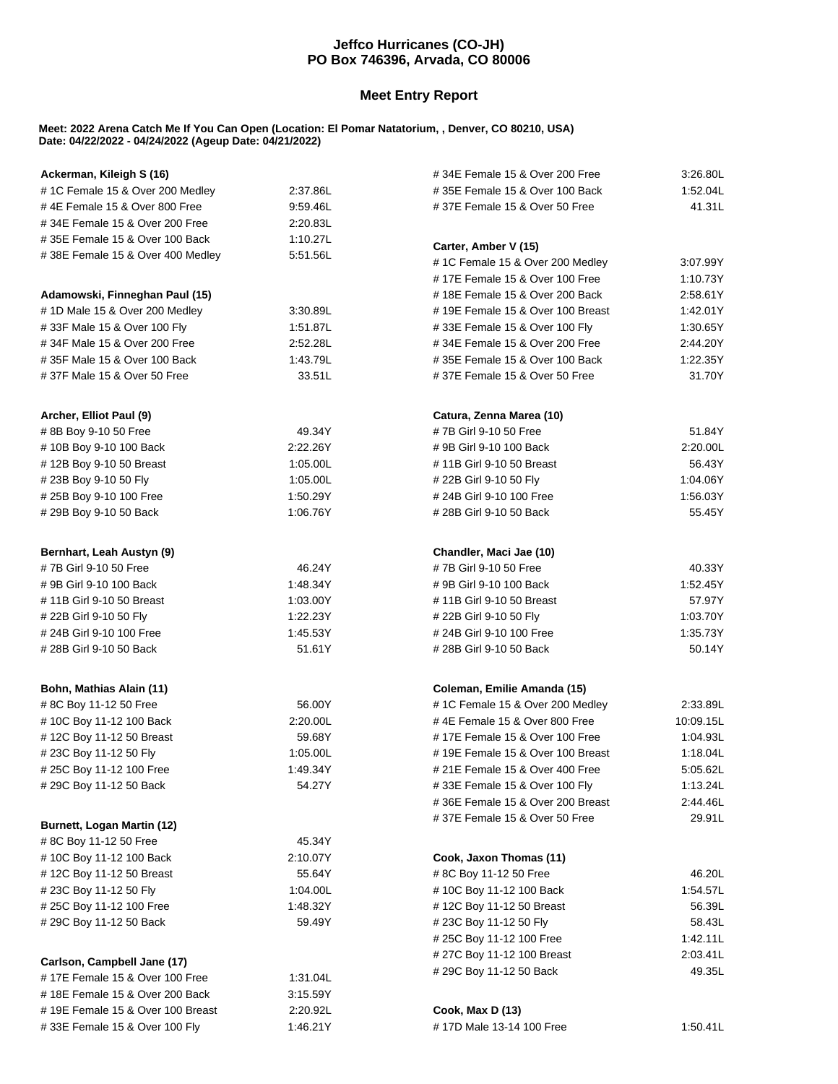## **Jeffco Hurricanes (CO-JH) PO Box 746396, Arvada, CO 80006**

## **Meet Entry Report**

## **Meet: 2022 Arena Catch Me If You Can Open (Location: El Pomar Natatorium, , Denver, CO 80210, USA) Date: 04/22/2022 - 04/24/2022 (Ageup Date: 04/21/2022)**

| Ackerman, Kileigh S (16)                            |          | #34E Female 15 & Over 200 Free                     | 3:26.80L           |
|-----------------------------------------------------|----------|----------------------------------------------------|--------------------|
| #1C Female 15 & Over 200 Medley                     | 2:37.86L | #35E Female 15 & Over 100 Back                     | 1.52.04L           |
| #4E Female 15 & Over 800 Free                       | 9:59.46L | #37E Female 15 & Over 50 Free<br>41.31L            |                    |
| #34E Female 15 & Over 200 Free                      | 2:20.83L |                                                    |                    |
| #35E Female 15 & Over 100 Back                      | 1:10.27L |                                                    |                    |
| #38E Female 15 & Over 400 Medley                    | 5:51.56L | Carter, Amber V (15)                               |                    |
|                                                     |          | #1C Female 15 & Over 200 Medley                    | 3:07.99Y           |
|                                                     |          | #17E Female 15 & Over 100 Free<br>1:10.73Y         |                    |
| Adamowski, Finneghan Paul (15)                      |          | #18E Female 15 & Over 200 Back                     | 2:58.61Y           |
| #1D Male 15 & Over 200 Medley                       | 3:30.89L | #19E Female 15 & Over 100 Breast                   | 1:42.01Y           |
| #33F Male 15 & Over 100 Fly                         | 1:51.87L | #33E Female 15 & Over 100 Fly                      | 1:30.65Y           |
| #34F Male 15 & Over 200 Free                        | 2:52.28L | #34E Female 15 & Over 200 Free                     | 2:44.20Y           |
| #35F Male 15 & Over 100 Back                        | 1:43.79L | #35E Female 15 & Over 100 Back                     | 1:22.35Y           |
| #37F Male 15 & Over 50 Free                         | 33.51L   | #37E Female 15 & Over 50 Free                      | 31.70Y             |
| Archer, Elliot Paul (9)                             |          | Catura, Zenna Marea (10)                           |                    |
| #8B Boy 9-10 50 Free                                | 49.34Y   | #7B Girl 9-10 50 Free                              | 51.84Y             |
| #10B Boy 9-10 100 Back                              | 2:22.26Y | #9B Girl 9-10 100 Back                             | 2:20.00L           |
| #12B Boy 9-10 50 Breast                             | 1:05.00L | #11B Girl 9-10 50 Breast                           | 56.43Y             |
| #23B Boy 9-10 50 Fly                                | 1:05.00L | #22B Girl 9-10 50 Fly                              | 1:04.06Y           |
| #25B Boy 9-10 100 Free                              | 1:50.29Y | # 24B Girl 9-10 100 Free                           | 1:56.03Y           |
| # 29B Boy 9-10 50 Back                              | 1:06.76Y | # 28B Girl 9-10 50 Back                            | 55.45Y             |
| Bernhart, Leah Austyn (9)                           |          |                                                    |                    |
| #7B Girl 9-10 50 Free                               | 46.24Y   | Chandler, Maci Jae (10)                            |                    |
| #9B Girl 9-10 100 Back                              |          | #7B Girl 9-10 50 Free                              | 40.33Y<br>1:52.45Y |
|                                                     | 1:48.34Y | # 9B Girl 9-10 100 Back                            |                    |
| # 11B Girl 9-10 50 Breast                           | 1:03.00Y | #11B Girl 9-10 50 Breast                           | 57.97Y<br>1:03.70Y |
| # 22B Girl 9-10 50 Fly                              | 1:22.23Y | # 22B Girl 9-10 50 Fly<br># 24B Girl 9-10 100 Free |                    |
| # 24B Girl 9-10 100 Free<br># 28B Girl 9-10 50 Back | 1:45.53Y | 51.61Y<br># 28B Girl 9-10 50 Back                  |                    |
|                                                     |          |                                                    | 50.14Y             |
| Bohn, Mathias Alain (11)                            |          | Coleman, Emilie Amanda (15)                        |                    |
| #8C Boy 11-12 50 Free                               | 56.00Y   | #1C Female 15 & Over 200 Medley<br>2:33.89L        |                    |
| #10C Boy 11-12 100 Back                             | 2:20.00L | #4E Female 15 & Over 800 Free<br>10:09.15L         |                    |
| #12C Boy 11-12 50 Breast                            | 59.68Y   | #17E Female 15 & Over 100 Free<br>1:04.93L         |                    |
| #23C Boy 11-12 50 Fly                               | 1:05.00L | #19E Female 15 & Over 100 Breast<br>1:18.04L       |                    |
| # 25C Boy 11-12 100 Free                            | 1:49.34Y | # 21E Female 15 & Over 400 Free<br>5:05.62L        |                    |
| # 29C Boy 11-12 50 Back                             | 54.27Y   | #33E Female 15 & Over 100 Fly                      | 1:13.24L           |
|                                                     |          | #36E Female 15 & Over 200 Breast                   | 2:44.46L           |
| Burnett, Logan Martin (12)                          |          | #37E Female 15 & Over 50 Free                      | 29.91L             |
| #8C Boy 11-12 50 Free                               | 45.34Y   |                                                    |                    |
| #10C Boy 11-12 100 Back                             | 2:10.07Y | Cook, Jaxon Thomas (11)                            |                    |
| #12C Boy 11-12 50 Breast                            | 55.64Y   | # 8C Boy 11-12 50 Free<br>46.20L                   |                    |
| # 23C Boy 11-12 50 Fly                              | 1:04.00L | #10C Boy 11-12 100 Back<br>1.54.57L                |                    |
| #25C Boy 11-12 100 Free                             | 1:48.32Y | 56.39L<br>#12C Boy 11-12 50 Breast                 |                    |
| #29C Boy 11-12 50 Back                              | 59.49Y   | #23C Boy 11-12 50 Fly                              | 58.43L             |
|                                                     |          | #25C Boy 11-12 100 Free                            | 1:42.11L           |
|                                                     |          | # 27C Boy 11-12 100 Breast                         | 2:03.41L           |
| Carlson, Campbell Jane (17)                         |          | # 29C Boy 11-12 50 Back                            | 49.35L             |
| #17E Female 15 & Over 100 Free                      | 1:31.04L |                                                    |                    |
| #18E Female 15 & Over 200 Back                      | 3:15.59Y |                                                    |                    |
| #19E Female 15 & Over 100 Breast                    | 2:20.92L | Cook, Max D (13)                                   |                    |
| #33E Female 15 & Over 100 Fly                       | 1:46.21Y | #17D Male 13-14 100 Free                           | 1:50.41L           |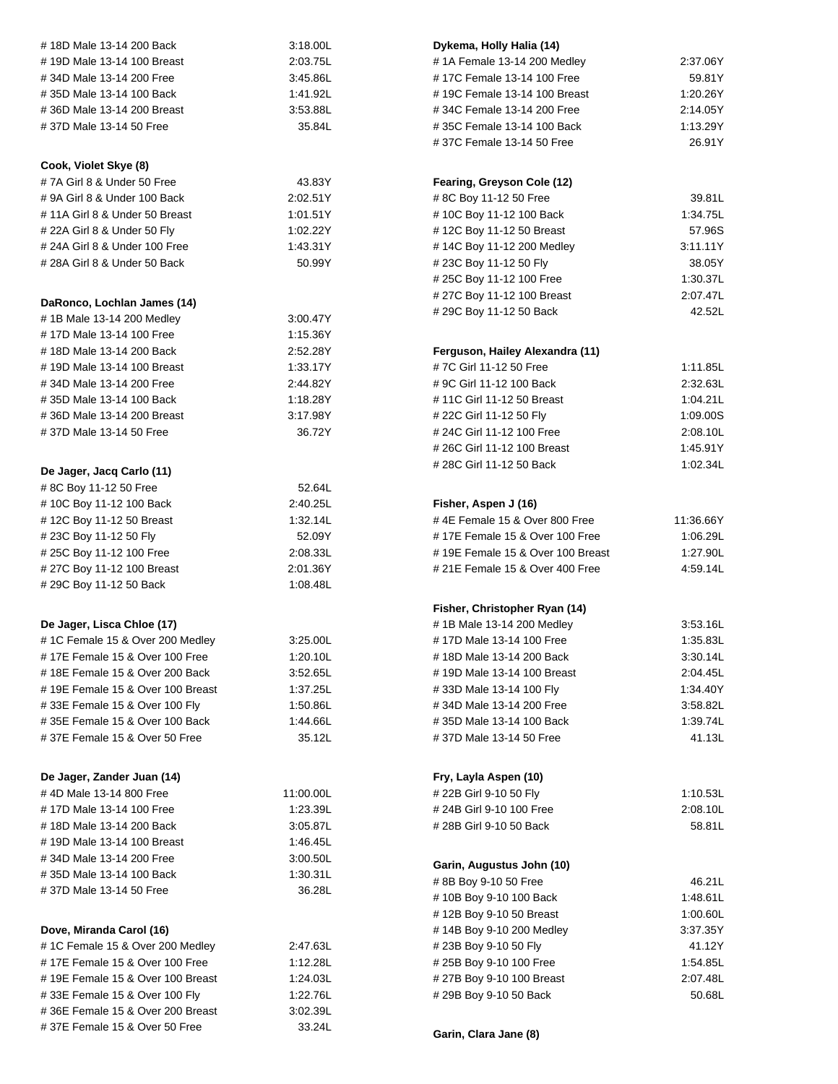| #18D Male 13-14 200 Back         | 3:18.00L  | Dykema, Holly Halia (14)                     |           |
|----------------------------------|-----------|----------------------------------------------|-----------|
| #19D Male 13-14 100 Breast       | 2:03.75L  | #1A Female 13-14 200 Medley                  | 2:37.06Y  |
| #34D Male 13-14 200 Free         | 3:45.86L  | #17C Female 13-14 100 Free                   | 59.81Y    |
| #35D Male 13-14 100 Back         | 1:41.92L  | #19C Female 13-14 100 Breast<br>1:20.26Y     |           |
| #36D Male 13-14 200 Breast       | 3:53.88L  | #34C Female 13-14 200 Free<br>2:14.05Y       |           |
| #37D Male 13-14 50 Free          | 35.84L    | #35C Female 13-14 100 Back<br>1:13.29Y       |           |
|                                  |           | #37C Female 13-14 50 Free<br>26.91Y          |           |
| Cook, Violet Skye (8)            |           |                                              |           |
| #7A Girl 8 & Under 50 Free       | 43.83Y    | Fearing, Greyson Cole (12)                   |           |
| # 9A Girl 8 & Under 100 Back     | 2:02.51Y  | # 8C Boy 11-12 50 Free                       | 39.81L    |
| # 11A Girl 8 & Under 50 Breast   | 1:01.51Y  | #10C Boy 11-12 100 Back                      | 1:34.75L  |
| # 22A Girl 8 & Under 50 Fly      | 1:02.22Y  | #12C Boy 11-12 50 Breast                     | 57.96S    |
| # 24A Girl 8 & Under 100 Free    | 1.43.31Y  | #14C Boy 11-12 200 Medley                    | 3:11.11Y  |
| # 28A Girl 8 & Under 50 Back     | 50.99Y    | #23C Boy 11-12 50 Fly                        | 38.05Y    |
|                                  |           | #25C Boy 11-12 100 Free                      | 1:30.37L  |
|                                  |           | # 27C Boy 11-12 100 Breast                   | 2:07.47L  |
| DaRonco, Lochlan James (14)      |           | #29C Boy 11-12 50 Back                       | 42.52L    |
| # 1B Male 13-14 200 Medley       | 3:00.47Y  |                                              |           |
| #17D Male 13-14 100 Free         | 1:15.36Y  |                                              |           |
| #18D Male 13-14 200 Back         | 2:52.28Y  | Ferguson, Hailey Alexandra (11)              |           |
| #19D Male 13-14 100 Breast       | 1:33.17Y  | #7C Girl 11-12 50 Free                       | 1:11.85L  |
| #34D Male 13-14 200 Free         | 2:44.82Y  | # 9C Girl 11-12 100 Back                     | 2:32.63L  |
| #35D Male 13-14 100 Back         | 1:18.28Y  | #11C Girl 11-12 50 Breast                    | 1:04.21L  |
| #36D Male 13-14 200 Breast       | 3:17.98Y  | # 22C Girl 11-12 50 Fly                      | 1:09.00S  |
| #37D Male 13-14 50 Free          | 36.72Y    | # 24C Girl 11-12 100 Free                    | 2:08.10L  |
|                                  |           | # 26C Girl 11-12 100 Breast                  | 1:45.91Y  |
| De Jager, Jacq Carlo (11)        |           | # 28C Girl 11-12 50 Back                     | 1:02.34L  |
| # 8C Boy 11-12 50 Free           | 52.64L    |                                              |           |
| #10C Boy 11-12 100 Back          | 2:40.25L  | Fisher, Aspen J (16)                         |           |
| #12C Boy 11-12 50 Breast         | 1:32.14L  | #4E Female 15 & Over 800 Free                | 11:36.66Y |
| #23C Boy 11-12 50 Fly            | 52.09Y    | #17E Female 15 & Over 100 Free<br>1:06.29L   |           |
| #25C Boy 11-12 100 Free          | 2:08.33L  | #19E Female 15 & Over 100 Breast<br>1:27.90L |           |
| #27C Boy 11-12 100 Breast        | 2:01.36Y  | # 21E Female 15 & Over 400 Free<br>4:59.14L  |           |
| # 29C Boy 11-12 50 Back          | 1:08.48L  |                                              |           |
|                                  |           |                                              |           |
|                                  |           | Fisher, Christopher Ryan (14)                |           |
| De Jager, Lisca Chloe (17)       |           | #1B Male 13-14 200 Medley                    | 3:53.16L  |
| #1C Female 15 & Over 200 Medley  | 3:25.00L  | #17D Male 13-14 100 Free<br>1:35.83L         |           |
| #17E Female 15 & Over 100 Free   | 1:20.10L  | #18D Male 13-14 200 Back<br>3:30.14L         |           |
| # 18E Female 15 & Over 200 Back  | 3:52.65L  | 2:04.45L<br>#19D Male 13-14 100 Breast       |           |
| #19E Female 15 & Over 100 Breast | 1:37.25L  | #33D Male 13-14 100 Fly<br>1:34.40Y          |           |
| #33E Female 15 & Over 100 Fly    | 1:50.86L  | #34D Male 13-14 200 Free<br>3:58.82L         |           |
| #35E Female 15 & Over 100 Back   | 1:44.66L  | #35D Male 13-14 100 Back<br>1.39.74L         |           |
| #37E Female 15 & Over 50 Free    | 35.12L    | #37D Male 13-14 50 Free<br>41.13L            |           |
|                                  |           |                                              |           |
| De Jager, Zander Juan (14)       |           | Fry, Layla Aspen (10)                        |           |
| #4D Male 13-14 800 Free          | 11:00.00L | # 22B Girl 9-10 50 Fly                       | 1:10.53L  |
| #17D Male 13-14 100 Free         | 1:23.39L  | 2:08.10L<br># 24B Girl 9-10 100 Free         |           |
| #18D Male 13-14 200 Back         | 3:05.87L  | 58.81L<br># 28B Girl 9-10 50 Back            |           |
| #19D Male 13-14 100 Breast       | 1:46.45L  |                                              |           |
| #34D Male 13-14 200 Free         | 3:00.50L  |                                              |           |
| #35D Male 13-14 100 Back         | 1:30.31L  | Garin, Augustus John (10)                    |           |
| #37D Male 13-14 50 Free          | 36.28L    | #8B Boy 9-10 50 Free<br>46.21L               |           |
|                                  |           | #10B Boy 9-10 100 Back                       | 1.48.61L  |
|                                  |           | #12B Boy 9-10 50 Breast<br>1:00.60L          |           |
| Dove, Miranda Carol (16)         |           | #14B Boy 9-10 200 Medley<br>3:37.35Y         |           |
| # 1C Female 15 & Over 200 Medley | 2:47.63L  | #23B Boy 9-10 50 Fly<br>41.12Y               |           |
| #17E Female 15 & Over 100 Free   | 1:12.28L  | # 25B Boy 9-10 100 Free                      | 1:54.85L  |
| #19E Female 15 & Over 100 Breast | 1:24.03L  | 2:07.48L<br>#27B Boy 9-10 100 Breast         |           |
| #33E Female 15 & Over 100 Fly    | 1:22.76L  | 50.68L<br># 29B Boy 9-10 50 Back             |           |
| #36E Female 15 & Over 200 Breast | 3:02.39L  |                                              |           |
| #37E Female 15 & Over 50 Free    | 33.24L    | Garin, Clara Jane (8)                        |           |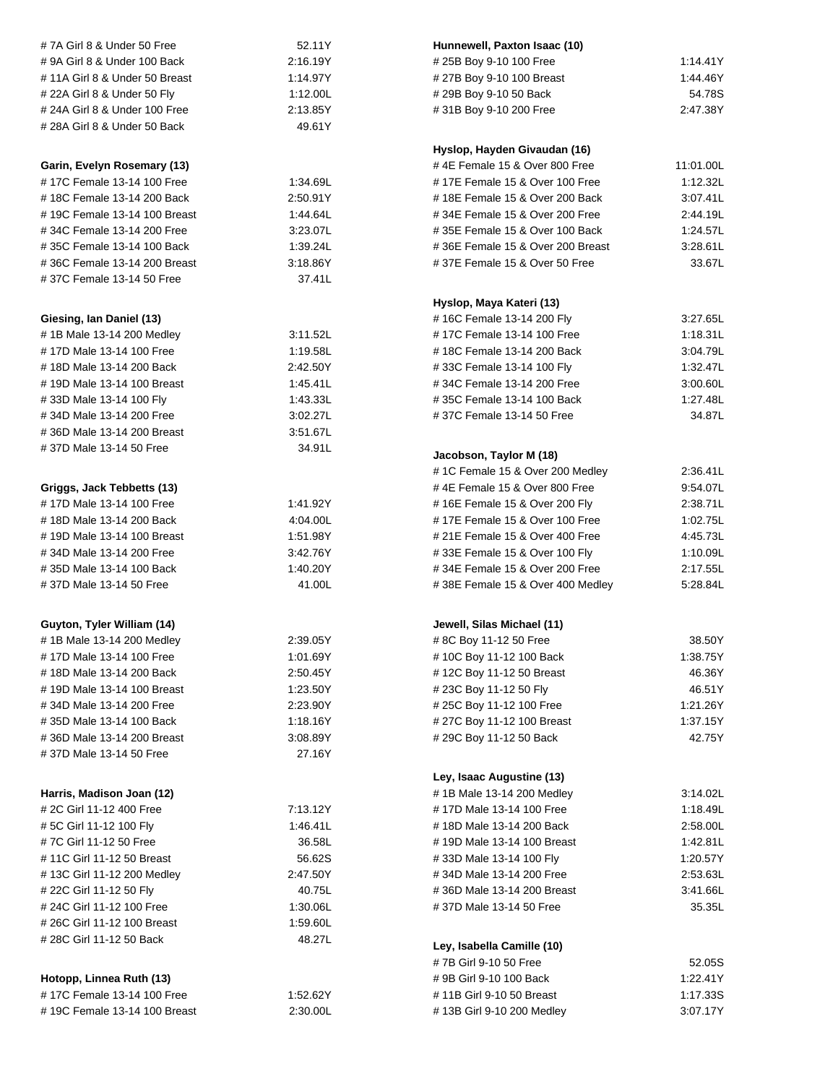| #7A Girl 8 & Under 50 Free    | 52.11Y   | Hunnewell, Paxton Isaac (10)            |                      |  |
|-------------------------------|----------|-----------------------------------------|----------------------|--|
| #9A Girl 8 & Under 100 Back   | 2:16.19Y | #25B Boy 9-10 100 Free                  | 1:14.41Y             |  |
| #11A Girl 8 & Under 50 Breast | 1:14.97Y | #27B Boy 9-10 100 Breast<br>1:44.46Y    |                      |  |
| # 22A Girl 8 & Under 50 Fly   | 1:12.00L | #29B Boy 9-10 50 Back                   |                      |  |
| # 24A Girl 8 & Under 100 Free | 2:13.85Y | #31B Boy 9-10 200 Free                  | 2:47.38Y             |  |
| # 28A Girl 8 & Under 50 Back  | 49.61Y   |                                         |                      |  |
|                               |          |                                         |                      |  |
|                               |          | Hyslop, Hayden Givaudan (16)            |                      |  |
| Garin, Evelyn Rosemary (13)   |          | #4E Female 15 & Over 800 Free           | 11:01.00L            |  |
| #17C Female 13-14 100 Free    | 1:34.69L | #17E Female 15 & Over 100 Free          | 1:12.32L             |  |
| #18C Female 13-14 200 Back    | 2:50.91Y | #18E Female 15 & Over 200 Back          | 3:07.41L             |  |
| #19C Female 13-14 100 Breast  | 1:44.64L | #34E Female 15 & Over 200 Free          | 2:44.19L             |  |
| #34C Female 13-14 200 Free    | 3:23.07L | #35E Female 15 & Over 100 Back          | 1:24.57L             |  |
| #35C Female 13-14 100 Back    | 1:39.24L | #36E Female 15 & Over 200 Breast        | 3:28.61L             |  |
| #36C Female 13-14 200 Breast  | 3:18.86Y | #37E Female 15 & Over 50 Free           | 33.67L               |  |
| #37C Female 13-14 50 Free     | 37.41L   |                                         |                      |  |
|                               |          | Hyslop, Maya Kateri (13)                |                      |  |
| Giesing, Ian Daniel (13)      |          | #16C Female 13-14 200 Fly               | 3:27.65L             |  |
| #1B Male 13-14 200 Medley     | 3:11.52L | #17C Female 13-14 100 Free              | 1:18.31L             |  |
| #17D Male 13-14 100 Free      | 1:19.58L | #18C Female 13-14 200 Back              | 3:04.79L             |  |
| #18D Male 13-14 200 Back      | 2:42.50Y | #33C Female 13-14 100 Fly               | 1:32.47L             |  |
| #19D Male 13-14 100 Breast    | 1:45.41L | #34C Female 13-14 200 Free              | 3:00.60L             |  |
| #33D Male 13-14 100 Fly       | 1:43.33L | #35C Female 13-14 100 Back              | 1:27.48L             |  |
| #34D Male 13-14 200 Free      | 3:02.27L | #37C Female 13-14 50 Free               | 34.87L               |  |
| #36D Male 13-14 200 Breast    | 3:51.67L |                                         |                      |  |
| #37D Male 13-14 50 Free       | 34.91L   |                                         |                      |  |
|                               |          | Jacobson, Taylor M (18)                 |                      |  |
|                               |          | #1C Female 15 & Over 200 Medley         | 2:36.41L             |  |
| Griggs, Jack Tebbetts (13)    |          | #4E Female 15 & Over 800 Free           | 9:54.07L             |  |
| #17D Male 13-14 100 Free      | 1:41.92Y | #16E Female 15 & Over 200 Fly           | 2:38.71L             |  |
| #18D Male 13-14 200 Back      | 4:04.00L | #17E Female 15 & Over 100 Free          | 1:02.75L             |  |
| #19D Male 13-14 100 Breast    | 1:51.98Y | # 21E Female 15 & Over 400 Free         | 4:45.73L             |  |
| #34D Male 13-14 200 Free      | 3:42.76Y | #33E Female 15 & Over 100 Fly           | 1:10.09L             |  |
| #35D Male 13-14 100 Back      | 1:40.20Y | #34E Female 15 & Over 200 Free          | 2:17.55L<br>5:28.84L |  |
| #37D Male 13-14 50 Free       | 41.00L   | #38E Female 15 & Over 400 Medley        |                      |  |
| Guyton, Tyler William (14)    |          | Jewell, Silas Michael (11)              |                      |  |
| #1B Male 13-14 200 Medley     | 2:39.05Y | #8C Boy 11-12 50 Free<br>38.50Y         |                      |  |
| #17D Male 13-14 100 Free      | 1:01.69Y | #10C Boy 11-12 100 Back                 | 1:38.75Y             |  |
| #18D Male 13-14 200 Back      | 2:50.45Y | #12C Boy 11-12 50 Breast                |                      |  |
| #19D Male 13-14 100 Breast    | 1:23.50Y | #23C Boy 11-12 50 Fly                   |                      |  |
| #34D Male 13-14 200 Free      | 2:23.90Y | #25C Boy 11-12 100 Free                 |                      |  |
| #35D Male 13-14 100 Back      | 1:18.16Y | #27C Boy 11-12 100 Breast               |                      |  |
| #36D Male 13-14 200 Breast    | 3:08.89Y | # 29C Boy 11-12 50 Back<br>42.75Y       |                      |  |
| #37D Male 13-14 50 Free       | 27.16Y   |                                         |                      |  |
|                               |          | Ley, Isaac Augustine (13)               |                      |  |
| Harris, Madison Joan (12)     |          | #1B Male 13-14 200 Medley               | 3:14.02L             |  |
| # 2C Girl 11-12 400 Free      | 7:13.12Y | # 17D Male 13-14 100 Free               | 1:18.49L             |  |
| # 5C Girl 11-12 100 Fly       | 1:46.41L | # 18D Male 13-14 200 Back               |                      |  |
| #7C Girl 11-12 50 Free        | 36.58L   | # 19D Male 13-14 100 Breast<br>1:42.81L |                      |  |
| #11C Girl 11-12 50 Breast     | 56.62S   | #33D Male 13-14 100 Fly<br>1:20.57Y     |                      |  |
| #13C Girl 11-12 200 Medley    | 2:47.50Y | #34D Male 13-14 200 Free<br>2:53.63L    |                      |  |
| # 22C Girl 11-12 50 Fly       | 40.75L   | #36D Male 13-14 200 Breast<br>3:41.66L  |                      |  |
| # 24C Girl 11-12 100 Free     | 1:30.06L | #37D Male 13-14 50 Free<br>35.35L       |                      |  |
| # 26C Girl 11-12 100 Breast   | 1:59.60L |                                         |                      |  |
| # 28C Girl 11-12 50 Back      | 48.27L   |                                         |                      |  |
|                               |          | Ley, Isabella Camille (10)              |                      |  |
|                               |          | #7B Girl 9-10 50 Free                   | 52.05S               |  |
| Hotopp, Linnea Ruth (13)      |          | # 9B Girl 9-10 100 Back                 | 1:22.41Y             |  |
| #17C Female 13-14 100 Free    | 1:52.62Y | # 11B Girl 9-10 50 Breast               | 1:17.33S             |  |
| #19C Female 13-14 100 Breast  | 2:30.00L | #13B Girl 9-10 200 Medley               | 3:07.17Y             |  |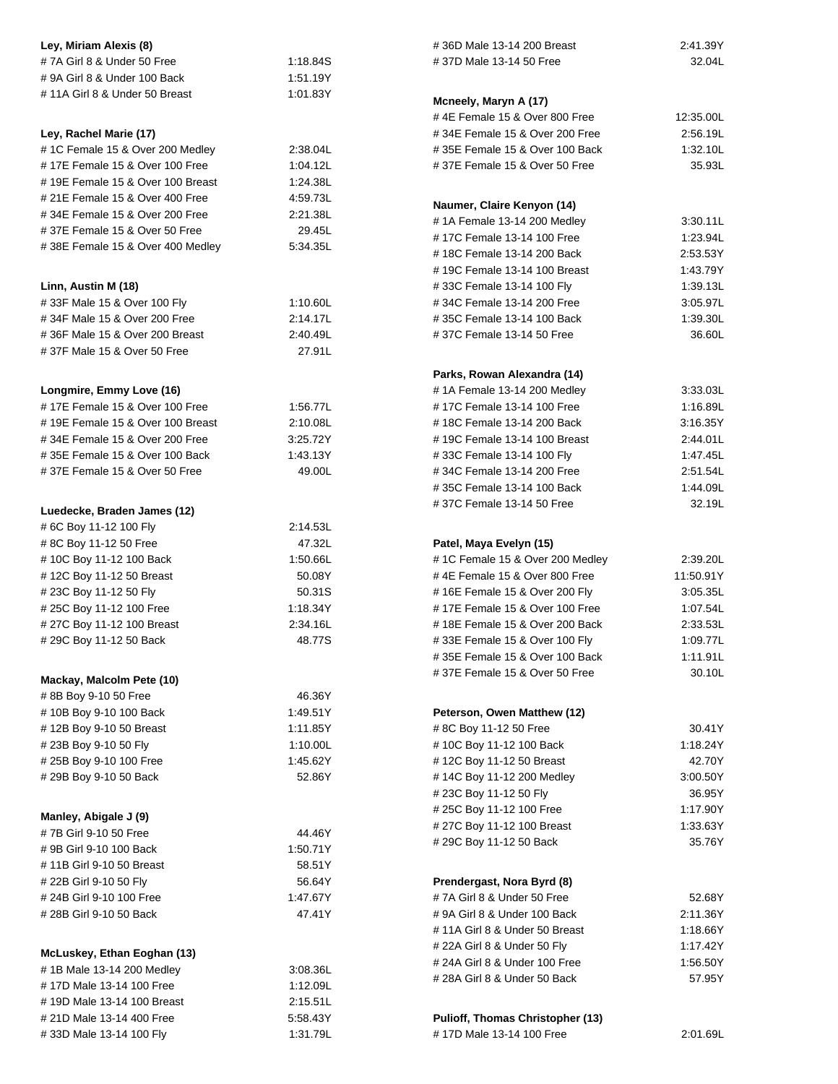| Ley, Miriam Alexis (8)                                          |                                        | #36D Male 13-14 200 Breast                                                  | 2:41.39Y              |
|-----------------------------------------------------------------|----------------------------------------|-----------------------------------------------------------------------------|-----------------------|
| #7A Girl 8 & Under 50 Free                                      | 1:18.84S                               | #37D Male 13-14 50 Free                                                     | 32.04L                |
| #9A Girl 8 & Under 100 Back                                     | 1:51.19Y                               |                                                                             |                       |
| #11A Girl 8 & Under 50 Breast                                   | 1:01.83Y                               | Mcneely, Maryn A (17)                                                       |                       |
|                                                                 |                                        | #4E Female 15 & Over 800 Free                                               |                       |
| Ley, Rachel Marie (17)                                          |                                        | #34E Female 15 & Over 200 Free                                              | 12:35.00L<br>2:56.19L |
| #1C Female 15 & Over 200 Medley                                 | 2:38.04L                               | #35E Female 15 & Over 100 Back                                              | 1:32.10L              |
| #17E Female 15 & Over 100 Free                                  | 1:04.12L                               | #37E Female 15 & Over 50 Free                                               | 35.93L                |
| #19E Female 15 & Over 100 Breast                                | 1:24.38L                               |                                                                             |                       |
| # 21E Female 15 & Over 400 Free                                 | 4:59.73L                               |                                                                             |                       |
| #34E Female 15 & Over 200 Free                                  | 2:21.38L                               | Naumer, Claire Kenyon (14)                                                  |                       |
| #37E Female 15 & Over 50 Free                                   | 29.45L                                 | #1A Female 13-14 200 Medley<br>#17C Female 13-14 100 Free                   | 3:30.11L              |
| #38E Female 15 & Over 400 Medley                                | 5:34.35L                               | #18C Female 13-14 200 Back                                                  | 1:23.94L<br>2:53.53Y  |
|                                                                 |                                        | #19C Female 13-14 100 Breast                                                | 1:43.79Y              |
| Linn, Austin M (18)                                             |                                        | #33C Female 13-14 100 Fly                                                   | 1:39.13L              |
| #33F Male 15 & Over 100 Fly                                     | 1:10.60L                               | #34C Female 13-14 200 Free                                                  | 3:05.97L              |
| #34F Male 15 & Over 200 Free                                    | 2:14.17L                               | #35C Female 13-14 100 Back                                                  | 1:39.30L              |
| #36F Male 15 & Over 200 Breast                                  | 2:40.49L                               | #37C Female 13-14 50 Free                                                   | 36.60L                |
| #37F Male 15 & Over 50 Free                                     | 27.91L                                 |                                                                             |                       |
|                                                                 |                                        |                                                                             |                       |
|                                                                 |                                        | Parks, Rowan Alexandra (14)                                                 |                       |
| Longmire, Emmy Love (16)                                        |                                        | #1A Female 13-14 200 Medley                                                 | 3:33.03L              |
| #17E Female 15 & Over 100 Free                                  | 1:56.77L                               | #17C Female 13-14 100 Free                                                  | 1:16.89L              |
| #19E Female 15 & Over 100 Breast                                | 2:10.08L                               | #18C Female 13-14 200 Back                                                  | 3:16.35Y              |
| #34E Female 15 & Over 200 Free                                  | 3:25.72Y                               | #19C Female 13-14 100 Breast                                                | 2:44.01L              |
| #35E Female 15 & Over 100 Back<br>#37E Female 15 & Over 50 Free | 1:43.13Y<br>49.00L                     | #33C Female 13-14 100 Fly<br>#34C Female 13-14 200 Free                     | 1:47.45L<br>2:51.54L  |
|                                                                 | #35C Female 13-14 100 Back             |                                                                             | 1:44.09L              |
|                                                                 |                                        | #37C Female 13-14 50 Free                                                   | 32.19L                |
| Luedecke, Braden James (12)                                     |                                        |                                                                             |                       |
| #6C Boy 11-12 100 Fly                                           | 2:14.53L                               |                                                                             |                       |
| #8C Boy 11-12 50 Free                                           | 47.32L                                 | Patel, Maya Evelyn (15)                                                     | 2:39.20L              |
| #10C Boy 11-12 100 Back                                         | 1:50.66L                               | #1C Female 15 & Over 200 Medley                                             |                       |
| #12C Boy 11-12 50 Breast                                        | 50.08Y<br>50.31S                       | #4E Female 15 & Over 800 Free<br>11:50.91Y<br>#16E Female 15 & Over 200 Fly |                       |
| #23C Boy 11-12 50 Fly<br>#25C Boy 11-12 100 Free                | 1:18.34Y                               | 3:05.35L<br>#17E Female 15 & Over 100 Free<br>1:07.54L                      |                       |
| # 27C Boy 11-12 100 Breast                                      | 2:34.16L                               | #18E Female 15 & Over 200 Back                                              |                       |
| #29C Boy 11-12 50 Back                                          | 48.77S                                 | 2:33.53L<br>#33E Female 15 & Over 100 Fly                                   |                       |
|                                                                 | #35E Female 15 & Over 100 Back         |                                                                             | 1:09.77L<br>1:11.91L  |
|                                                                 |                                        | #37E Female 15 & Over 50 Free                                               | 30.10L                |
| Mackay, Malcolm Pete (10)                                       |                                        |                                                                             |                       |
| #8B Boy 9-10 50 Free                                            | 46.36Y                                 |                                                                             |                       |
| #10B Boy 9-10 100 Back                                          | 1:49.51Y                               | Peterson, Owen Matthew (12)                                                 |                       |
| #12B Boy 9-10 50 Breast                                         | 1:11.85Y                               | 30.41Y<br>#8C Boy 11-12 50 Free<br>#10C Boy 11-12 100 Back<br>1:18.24Y      |                       |
| #23B Boy 9-10 50 Fly<br># 25B Boy 9-10 100 Free                 | 1:10.00L<br>1:45.62Y                   | #12C Boy 11-12 50 Breast<br>42.70Y                                          |                       |
| #29B Boy 9-10 50 Back                                           | 52.86Y                                 | #14C Boy 11-12 200 Medley<br>3:00.50Y                                       |                       |
|                                                                 |                                        | #23C Boy 11-12 50 Fly                                                       | 36.95Y                |
|                                                                 |                                        | #25C Boy 11-12 100 Free                                                     | 1:17.90Y              |
| Manley, Abigale J (9)                                           |                                        | # 27C Boy 11-12 100 Breast                                                  | 1:33.63Y              |
| #7B Girl 9-10 50 Free                                           | 44.46Y                                 | # 29C Boy 11-12 50 Back<br>35.76Y                                           |                       |
| # 9B Girl 9-10 100 Back                                         | 1:50.71Y                               |                                                                             |                       |
| #11B Girl 9-10 50 Breast                                        | 58.51Y                                 |                                                                             |                       |
| # 22B Girl 9-10 50 Fly                                          | 56.64Y                                 | Prendergast, Nora Byrd (8)                                                  |                       |
| # 24B Girl 9-10 100 Free                                        | 1:47.67Y                               | #7A Girl 8 & Under 50 Free                                                  | 52.68Y                |
| # 28B Girl 9-10 50 Back                                         | 47.41Y<br># 9A Girl 8 & Under 100 Back |                                                                             | 2:11.36Y              |
|                                                                 |                                        | #11A Girl 8 & Under 50 Breast                                               | 1:18.66Y<br>1:17.42Y  |
| McLuskey, Ethan Eoghan (13)                                     |                                        | # 22A Girl 8 & Under 50 Fly                                                 |                       |
| #1B Male 13-14 200 Medley                                       | 3:08.36L                               | # 24A Girl 8 & Under 100 Free<br>1:56.50Y                                   |                       |
| #17D Male 13-14 100 Free                                        | 1:12.09L                               | # 28A Girl 8 & Under 50 Back<br>57.95Y                                      |                       |
| #19D Male 13-14 100 Breast                                      | 2:15.51L                               |                                                                             |                       |
| # 21D Male 13-14 400 Free                                       | 5:58.43Y                               | <b>Pulioff, Thomas Christopher (13)</b>                                     |                       |
| #33D Male 13-14 100 Fly                                         | 1:31.79L                               | #17D Male 13-14 100 Free                                                    | 2:01.69L              |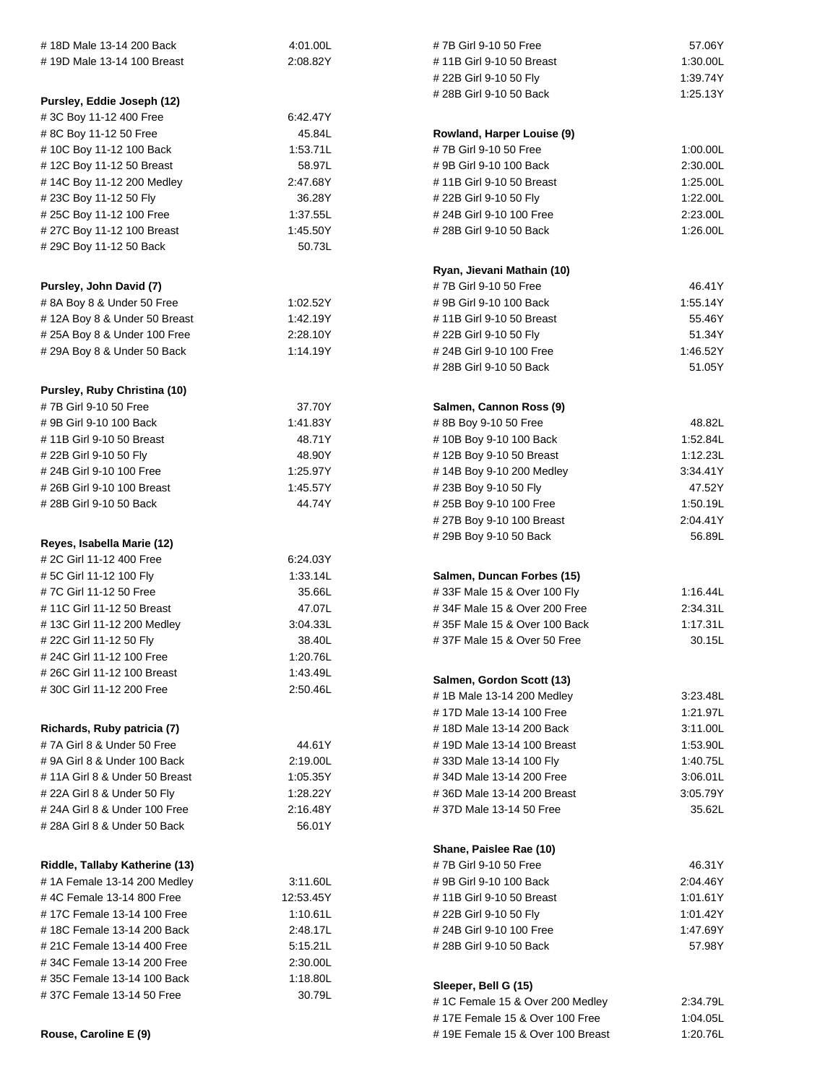| #18D Male 13-14 200 Back       | 4:01.00L  |                                                         | 57.06Y               |
|--------------------------------|-----------|---------------------------------------------------------|----------------------|
| #19D Male 13-14 100 Breast     | 2:08.82Y  | #7B Girl 9-10 50 Free                                   |                      |
|                                |           | #11B Girl 9-10 50 Breast<br># 22B Girl 9-10 50 Fly      |                      |
|                                |           |                                                         | 1:39.74Y             |
| Pursley, Eddie Joseph (12)     |           | # 28B Girl 9-10 50 Back                                 | 1:25.13Y             |
| #3C Boy 11-12 400 Free         | 6.42.47Y  |                                                         |                      |
| #8C Boy 11-12 50 Free          | 45.84L    | Rowland, Harper Louise (9)                              |                      |
| #10C Boy 11-12 100 Back        | 1:53.71L  | #7B Girl 9-10 50 Free                                   | 1:00.00L             |
| #12C Boy 11-12 50 Breast       | 58.97L    | #9B Girl 9-10 100 Back                                  | 2:30.00L             |
| #14C Boy 11-12 200 Medley      | 2:47.68Y  | #11B Girl 9-10 50 Breast                                | 1:25.00L             |
| # 23C Boy 11-12 50 Fly         | 36.28Y    | #22B Girl 9-10 50 Fly                                   | 1:22.00L             |
| # 25C Boy 11-12 100 Free       | 1:37.55L  | # 24B Girl 9-10 100 Free                                | 2:23.00L             |
| # 27C Boy 11-12 100 Breast     | 1:45.50Y  | # 28B Girl 9-10 50 Back                                 | 1:26.00L             |
| # 29C Boy 11-12 50 Back        | 50.73L    |                                                         |                      |
|                                |           |                                                         |                      |
|                                |           | Ryan, Jievani Mathain (10)                              |                      |
| Pursley, John David (7)        |           | #7B Girl 9-10 50 Free                                   | 46.41Y               |
| # 8A Boy 8 & Under 50 Free     | 1:02.52Y  | #9B Girl 9-10 100 Back                                  | 1:55.14Y             |
| #12A Boy 8 & Under 50 Breast   | 1:42.19Y  | #11B Girl 9-10 50 Breast                                | 55.46Y               |
| #25A Boy 8 & Under 100 Free    | 2:28.10Y  | # 22B Girl 9-10 50 Fly                                  | 51.34Y               |
| # 29A Boy 8 & Under 50 Back    | 1:14.19Y  | # 24B Girl 9-10 100 Free                                | 1:46.52Y             |
|                                |           | # 28B Girl 9-10 50 Back                                 | 51.05Y               |
| Pursley, Ruby Christina (10)   |           |                                                         |                      |
| #7B Girl 9-10 50 Free          | 37.70Y    | Salmen, Cannon Ross (9)                                 |                      |
| # 9B Girl 9-10 100 Back        | 1:41.83Y  | #8B Boy 9-10 50 Free                                    | 48.82L               |
| #11B Girl 9-10 50 Breast       | 48.71Y    | #10B Boy 9-10 100 Back                                  | 1:52.84L             |
| # 22B Girl 9-10 50 Fly         | 48.90Y    | #12B Boy 9-10 50 Breast                                 | 1:12.23L             |
| # 24B Girl 9-10 100 Free       | 1:25.97Y  | #14B Boy 9-10 200 Medley                                | 3:34.41Y             |
| # 26B Girl 9-10 100 Breast     | 1:45.57Y  | #23B Boy 9-10 50 Fly                                    | 47.52Y               |
| # 28B Girl 9-10 50 Back        | 44.74Y    | 1:50.19L<br>#25B Boy 9-10 100 Free                      |                      |
|                                |           | #27B Boy 9-10 100 Breast                                | 2:04.41Y             |
|                                |           | #29B Boy 9-10 50 Back                                   | 56.89L               |
| Reyes, Isabella Marie (12)     |           |                                                         |                      |
| # 2C Girl 11-12 400 Free       | 6:24.03Y  |                                                         |                      |
| # 5C Girl 11-12 100 Fly        | 1:33.14L  | Salmen, Duncan Forbes (15)                              |                      |
| #7C Girl 11-12 50 Free         | 35.66L    | #33F Male 15 & Over 100 Fly                             | 1.16.44L             |
| #11C Girl 11-12 50 Breast      | 47.07L    | #34F Male 15 & Over 200 Free                            | 2:34.31L             |
| #13C Girl 11-12 200 Medley     | 3:04.33L  | #35F Male 15 & Over 100 Back                            | 1:17.31L             |
| # 22C Girl 11-12 50 Fly        | 38.40L    | #37F Male 15 & Over 50 Free                             | 30.15L               |
| # 24C Girl 11-12 100 Free      | 1:20.76L  |                                                         |                      |
| # 26C Girl 11-12 100 Breast    | 1:43.49L  |                                                         |                      |
| #30C Girl 11-12 200 Free       | 2:50.46L  | Salmen, Gordon Scott (13)<br># 1B Male 13-14 200 Medley |                      |
|                                |           |                                                         | 3:23.48L<br>1:21.97L |
| Richards, Ruby patricia (7)    |           | # 17D Male 13-14 100 Free                               |                      |
|                                |           | # 18D Male 13-14 200 Back<br>#19D Male 13-14 100 Breast | 3:11.00L<br>1:53.90L |
| #7A Girl 8 & Under 50 Free     | 44.61Y    |                                                         |                      |
| #9A Girl 8 & Under 100 Back    | 2:19.00L  | 1:40.75L<br>#33D Male 13-14 100 Fly                     |                      |
| #11A Girl 8 & Under 50 Breast  | 1:05.35Y  | #34D Male 13-14 200 Free<br>3:06.01L                    |                      |
| # 22A Girl 8 & Under 50 Fly    | 1:28.22Y  | #36D Male 13-14 200 Breast<br>3:05.79Y                  |                      |
| # 24A Girl 8 & Under 100 Free  | 2:16.48Y  | #37D Male 13-14 50 Free                                 | 35.62L               |
| # 28A Girl 8 & Under 50 Back   | 56.01Y    |                                                         |                      |
|                                |           | Shane, Paislee Rae (10)                                 |                      |
| Riddle, Tallaby Katherine (13) |           | #7B Girl 9-10 50 Free                                   | 46.31Y               |
| #1A Female 13-14 200 Medley    | 3:11.60L  | # 9B Girl 9-10 100 Back                                 | 2:04.46Y             |
| #4C Female 13-14 800 Free      | 12:53.45Y | #11B Girl 9-10 50 Breast                                |                      |
| #17C Female 13-14 100 Free     | 1:10.61L  | 1:01.61Y<br># 22B Girl 9-10 50 Fly<br>1:01.42Y          |                      |
| #18C Female 13-14 200 Back     | 2:48.17L  | 1:47.69Y<br># 24B Girl 9-10 100 Free                    |                      |
| # 21C Female 13-14 400 Free    | 5:15.21L  | 57.98Y<br># 28B Girl 9-10 50 Back                       |                      |
| #34C Female 13-14 200 Free     | 2:30.00L  |                                                         |                      |
| #35C Female 13-14 100 Back     | 1:18.80L  |                                                         |                      |
| #37C Female 13-14 50 Free      | 30.79L    | Sleeper, Bell G (15)                                    |                      |
|                                |           | #1C Female 15 & Over 200 Medley                         | 2:34.79L             |
|                                |           | #17E Female 15 & Over 100 Free                          | 1:04.05L             |
| Rouse, Caroline E (9)          |           | #19E Female 15 & Over 100 Breast                        | 1:20.76L             |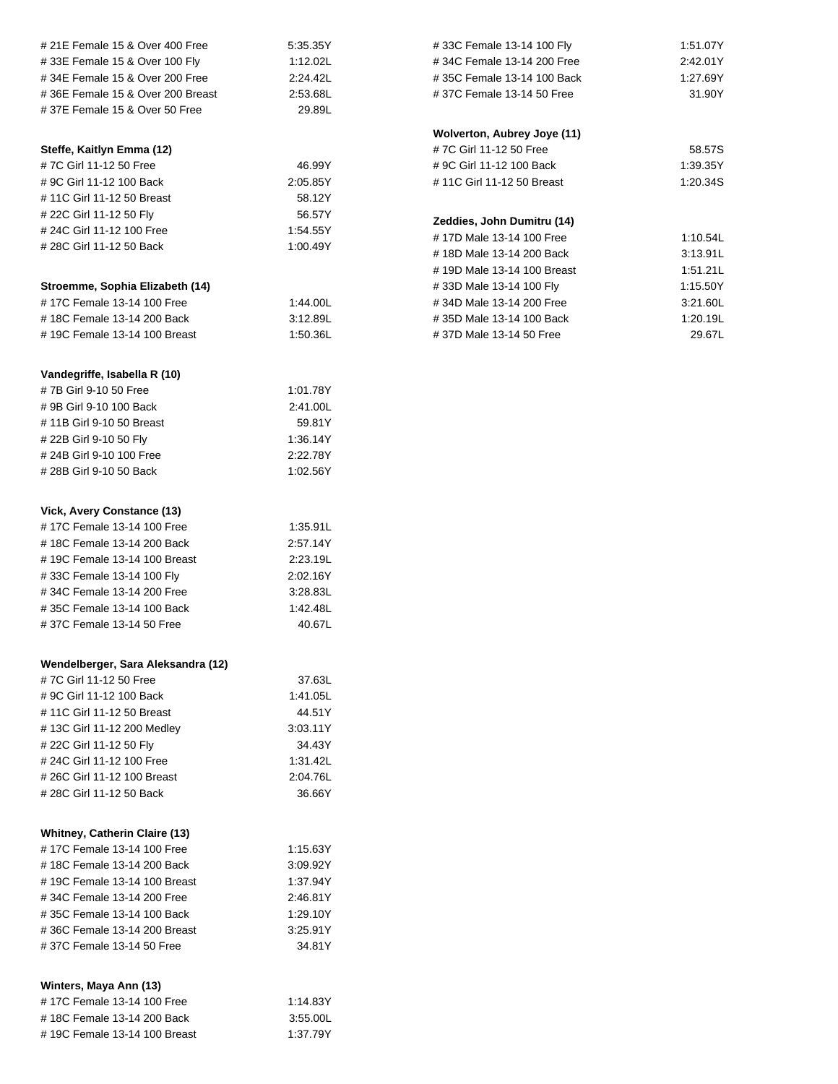| # 21E Female 15 & Over 400 Free      | 5:35.35Y               | #33C Female 13-14 100 Fly   | 1:51.07Y |
|--------------------------------------|------------------------|-----------------------------|----------|
| #33E Female 15 & Over 100 Fly        | 1:12.02L               | #34C Female 13-14 200 Free  | 2:42.01Y |
| #34E Female 15 & Over 200 Free       | 2:24.42L               | #35C Female 13-14 100 Back  | 1:27.69Y |
| #36E Female 15 & Over 200 Breast     | 2:53.68L               | #37C Female 13-14 50 Free   | 31.90Y   |
| #37E Female 15 & Over 50 Free        | 29.89L                 |                             |          |
|                                      |                        |                             |          |
|                                      |                        | Wolverton, Aubrey Joye (11) |          |
| Steffe, Kaitlyn Emma (12)            | #7C Girl 11-12 50 Free |                             | 58.57S   |
| #7C Girl 11-12 50 Free               | 46.99Y                 | # 9C Girl 11-12 100 Back    | 1:39.35Y |
| # 9C Girl 11-12 100 Back             | 2:05.85Y               | #11C Girl 11-12 50 Breast   | 1:20.34S |
| #11C Girl 11-12 50 Breast            | 58.12Y                 |                             |          |
| # 22C Girl 11-12 50 Fly              | 56.57Y                 | Zeddies, John Dumitru (14)  |          |
| # 24C Girl 11-12 100 Free            | 1.54.55Y               | #17D Male 13-14 100 Free    | 1:10.54L |
| # 28C Girl 11-12 50 Back             | 1:00.49Y               | #18D Male 13-14 200 Back    | 3:13.91L |
|                                      |                        | #19D Male 13-14 100 Breast  | 1:51.21L |
| Stroemme, Sophia Elizabeth (14)      |                        | #33D Male 13-14 100 Fly     | 1:15.50Y |
| #17C Female 13-14 100 Free           | 1:44.00L               | #34D Male 13-14 200 Free    | 3:21.60L |
| #18C Female 13-14 200 Back           | 3:12.89L               | #35D Male 13-14 100 Back    | 1:20.19L |
| #19C Female 13-14 100 Breast         | 1:50.36L               | #37D Male 13-14 50 Free     | 29.67L   |
|                                      |                        |                             |          |
|                                      |                        |                             |          |
| Vandegriffe, Isabella R (10)         |                        |                             |          |
| #7B Girl 9-10 50 Free                | 1:01.78Y               |                             |          |
| #9B Girl 9-10 100 Back               | 2:41.00L               |                             |          |
| #11B Girl 9-10 50 Breast             | 59.81Y                 |                             |          |
| # 22B Girl 9-10 50 Fly               | 1:36.14Y               |                             |          |
| # 24B Girl 9-10 100 Free             | 2:22.78Y               |                             |          |
| # 28B Girl 9-10 50 Back              | 1:02.56Y               |                             |          |
|                                      |                        |                             |          |
|                                      |                        |                             |          |
| Vick, Avery Constance (13)           |                        |                             |          |
| #17C Female 13-14 100 Free           | 1:35.91L               |                             |          |
| #18C Female 13-14 200 Back           | 2:57.14Y               |                             |          |
| #19C Female 13-14 100 Breast         | 2:23.19L               |                             |          |
| #33C Female 13-14 100 Fly            | 2:02.16Y               |                             |          |
| #34C Female 13-14 200 Free           | 3:28.83L               |                             |          |
| #35C Female 13-14 100 Back           | 1:42.48L               |                             |          |
| #37C Female 13-14 50 Free            | 40.67L                 |                             |          |
|                                      |                        |                             |          |
| Wendelberger, Sara Aleksandra (12)   |                        |                             |          |
| #7C Girl 11-12 50 Free               | 37.63L                 |                             |          |
| # 9C Girl 11-12 100 Back             | 1:41.05L               |                             |          |
| #11C Girl 11-12 50 Breast            | 44.51Y                 |                             |          |
| #13C Girl 11-12 200 Medley           | 3:03.11Y               |                             |          |
| # 22C Girl 11-12 50 Fly              | 34.43Y                 |                             |          |
| # 24C Girl 11-12 100 Free            | 1:31.42L               |                             |          |
| # 26C Girl 11-12 100 Breast          | 2:04.76L               |                             |          |
| # 28C Girl 11-12 50 Back             | 36.66Y                 |                             |          |
|                                      |                        |                             |          |
|                                      |                        |                             |          |
| <b>Whitney, Catherin Claire (13)</b> |                        |                             |          |
| #17C Female 13-14 100 Free           | 1:15.63Y               |                             |          |
| #18C Female 13-14 200 Back           | 3:09.92Y               |                             |          |
| #19C Female 13-14 100 Breast         | 1:37.94Y               |                             |          |
| #34C Female 13-14 200 Free           | 2:46.81Y               |                             |          |
| #35C Female 13-14 100 Back           | 1:29.10Y               |                             |          |
| #36C Female 13-14 200 Breast         | 3:25.91Y               |                             |          |
| #37C Female 13-14 50 Free            | 34.81Y                 |                             |          |
|                                      |                        |                             |          |
|                                      |                        |                             |          |
| Winters, Maya Ann (13)               |                        |                             |          |
| #17C Female 13-14 100 Free           | 1:14.83Y               |                             |          |
| #18C Female 13-14 200 Back           | 3:55.00L               |                             |          |
| #19C Female 13-14 100 Breast         | 1:37.79Y               |                             |          |